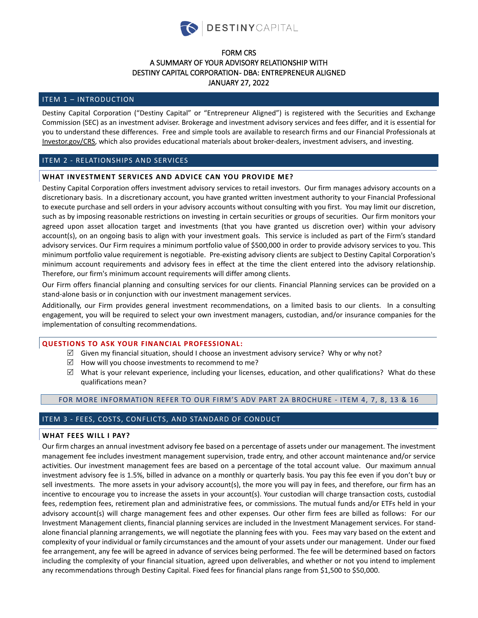

# FORM CRS A SUMMARY OF YOUR ADVISORY RELATIONSHIP WITH DESTINY CAPITAL CORPORATION- DBA: ENTREPRENEUR ALIGNED JANUARY 27, 2022

# ITEM 1 – INTRODUCTION

Destiny Capital Corporation ("Destiny Capital" or "Entrepreneur Aligned") is registered with the Securities and Exchange Commission (SEC) as an investment adviser. Brokerage and investment advisory services and fees differ, and it is essential for you to understand these differences. Free and simple tools are available to research firms and our Financial Professionals at [Investor.gov/CRS,](https://www.investor.gov/CRS) which also provides educational materials about broker-dealers, investment advisers, and investing.

# ITEM 2 - RELATIONSHIPS AND SERVICES

# **WHAT INVESTMENT SERVICES AND ADVICE CAN YOU PROVIDE ME?**

Destiny Capital Corporation offers investment advisory services to retail investors. Our firm manages advisory accounts on a discretionary basis. In a discretionary account, you have granted written investment authority to your Financial Professional to execute purchase and sell orders in your advisory accounts without consulting with you first. You may limit our discretion, such as by imposing reasonable restrictions on investing in certain securities or groups of securities. Our firm monitors your agreed upon asset allocation target and investments (that you have granted us discretion over) within your advisory account(s), on an ongoing basis to align with your investment goals. This service is included as part of the Firm's standard advisory services. Our Firm requires a minimum portfolio value of \$500,000 in order to provide advisory services to you. This minimum portfolio value requirement is negotiable. Pre-existing advisory clients are subject to Destiny Capital Corporation's minimum account requirements and advisory fees in effect at the time the client entered into the advisory relationship. Therefore, our firm's minimum account requirements will differ among clients.

Our Firm offers financial planning and consulting services for our clients. Financial Planning services can be provided on a stand-alone basis or in conjunction with our investment management services.

Additionally, our Firm provides general investment recommendations, on a limited basis to our clients. In a consulting engagement, you will be required to select your own investment managers, custodian, and/or insurance companies for the implementation of consulting recommendations.

## **QUESTIONS TO ASK YOUR FINANCIAL PROFESSIONAL:**

- $\boxtimes$  Given my financial situation, should I choose an investment advisory service? Why or why not?
- $\boxtimes$  How will you choose investments to recommend to me?
- $\boxtimes$  What is your relevant experience, including your licenses, education, and other qualifications? What do these qualifications mean?

## FOR MORE INFORMATION REFER TO OUR FIRM'S ADV PART 2A BROCHURE - ITEM 4, 7, 8, 13 & 16

# ITEM 3 - FEES, COSTS, CONFLICTS, AND STANDARD OF CONDUCT

#### **WHAT FEES WILL I PAY?**

Our firm charges an annual investment advisory fee based on a percentage of assets under our management. The investment management fee includes investment management supervision, trade entry, and other account maintenance and/or service activities. Our investment management fees are based on a percentage of the total account value. Our maximum annual investment advisory fee is 1.5%, billed in advance on a monthly or quarterly basis. You pay this fee even if you don't buy or sell investments. The more assets in your advisory account(s), the more you will pay in fees, and therefore, our firm has an incentive to encourage you to increase the assets in your account(s). Your custodian will charge transaction costs, custodial fees, redemption fees, retirement plan and administrative fees, or commissions. The mutual funds and/or ETFs held in your advisory account(s) will charge management fees and other expenses. Our other firm fees are billed as follows: For our Investment Management clients, financial planning services are included in the Investment Management services. For standalone financial planning arrangements, we will negotiate the planning fees with you. Fees may vary based on the extent and complexity of your individual or family circumstances and the amount of your assets under our management. Under our fixed fee arrangement, any fee will be agreed in advance of services being performed. The fee will be determined based on factors including the complexity of your financial situation, agreed upon deliverables, and whether or not you intend to implement any recommendations through Destiny Capital. Fixed fees for financial plans range from \$1,500 to \$50,000.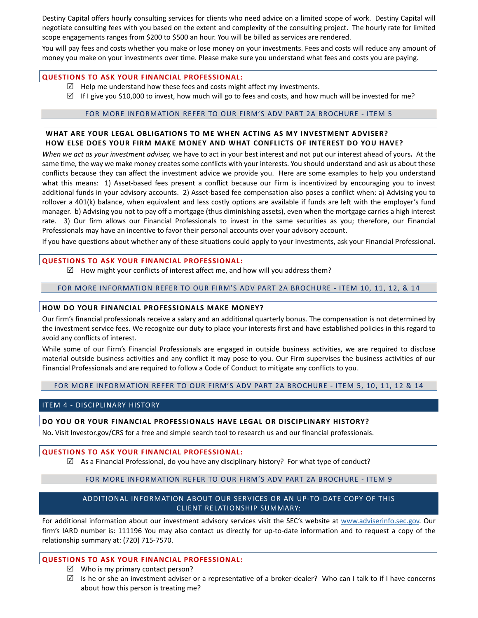Destiny Capital offers hourly consulting services for clients who need advice on a limited scope of work. Destiny Capital will negotiate consulting fees with you based on the extent and complexity of the consulting project. The hourly rate for limited scope engagements ranges from \$200 to \$500 an hour. You will be billed as services are rendered.

You will pay fees and costs whether you make or lose money on your investments. Fees and costs will reduce any amount of money you make on your investments over time. Please make sure you understand what fees and costs you are paying.

# **QUESTIONS TO ASK YOUR FINANCIAL PROFESSIONAL:**

- $\boxtimes$  Help me understand how these fees and costs might affect my investments.
- $\boxtimes$  If I give you \$10,000 to invest, how much will go to fees and costs, and how much will be invested for me?

# FOR MORE INFORMATION REFER TO OUR FIRM'S ADV PART 2A BROCHURE - ITEM 5

# **WHAT ARE YOUR LEGAL OBLIGATIONS TO ME WHEN ACTING AS MY INVESTMENT ADVISER? HOW ELSE DOES YOUR FIRM MAKE MONEY AND WHAT CONFLICTS OF INTEREST DO YOU HAVE?**

*When we act as your investment adviser,* we have to act in your best interest and not put our interest ahead of yours**.** At the same time, the way we make money creates some conflicts with your interests. You should understand and ask us about these conflicts because they can affect the investment advice we provide you. Here are some examples to help you understand what this means: 1) Asset-based fees present a conflict because our Firm is incentivized by encouraging you to invest additional funds in your advisory accounts. 2) Asset-based fee compensation also poses a conflict when: a) Advising you to rollover a 401(k) balance, when equivalent and less costly options are available if funds are left with the employer's fund manager. b) Advising you not to pay off a mortgage (thus diminishing assets), even when the mortgage carries a high interest rate. 3) Our firm allows our Financial Professionals to invest in the same securities as you; therefore, our Financial Professionals may have an incentive to favor their personal accounts over your advisory account.

If you have questions about whether any of these situations could apply to your investments, ask your Financial Professional.

## **QUESTIONS TO ASK YOUR FINANCIAL PROFESSIONAL:**

 $\boxtimes$  How might your conflicts of interest affect me, and how will you address them?

### FOR MORE INFORMATION REFER TO OUR FIRM'S ADV PART 2A BROCHURE - ITEM 10, 11, 12, & 14

#### **HOW DO YOUR FINANCIAL PROFESSIONALS MAKE MONEY?**

Our firm's financial professionals receive a salary and an additional quarterly bonus. The compensation is not determined by the investment service fees. We recognize our duty to place your interests first and have established policies in this regard to avoid any conflicts of interest.

While some of our Firm's Financial Professionals are engaged in outside business activities, we are required to disclose material outside business activities and any conflict it may pose to you. Our Firm supervises the business activities of our Financial Professionals and are required to follow a Code of Conduct to mitigate any conflicts to you.

# FOR MORE INFORMATION REFER TO OUR FIRM'S ADV PART 2A BROCHURE - ITEM 5, 10, 11, 12 & 14

## ITEM 4 - DISCIPLINARY HISTORY

## **DO YOU OR YOUR FINANCIAL PROFESSIONALS HAVE LEGAL OR DISCIPLINARY HISTORY?**

No**.** Visit Investor.gov/CRS for a free and simple search tool to research us and our financial professionals.

#### **QUESTIONS TO ASK YOUR FINANCIAL PROFESSIONAL:**

 $\boxtimes$  As a Financial Professional, do you have any disciplinary history? For what type of conduct?

## FOR MORE INFORMATION REFER TO OUR FIRM'S ADV PART 2A BROCHURE - ITEM 9

# ADDITIONAL INFORMATION ABOUT OUR SERVICES OR AN UP-TO-DATE COPY OF THIS CLIENT RELATIONSHIP SUMMARY:

For additional information about our investment advisory services visit the SEC's website at [www.adviserinfo.sec.gov.](https://adviserinfo.sec.gov/) Our firm's IARD number is: 111196 You may also contact us directly for up-to-date information and to request a copy of the relationship summary at: (720) 715-7570.

# **QUESTIONS TO ASK YOUR FINANCIAL PROFESSIONAL:**

- $\boxtimes$  Who is my primary contact person?
- $\boxtimes$  Is he or she an investment adviser or a representative of a broker-dealer? Who can I talk to if I have concerns about how this person is treating me?